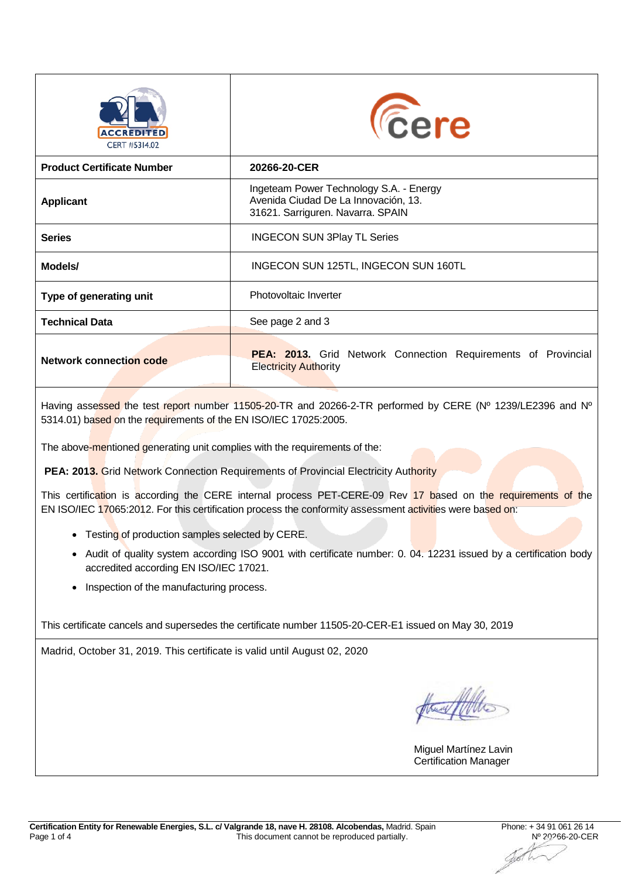| <b>ACCREDITED</b><br>CERT #5314.02 | <b><i><u>Cere</u></i></b>                                                                                            |  |  |  |  |  |
|------------------------------------|----------------------------------------------------------------------------------------------------------------------|--|--|--|--|--|
| <b>Product Certificate Number</b>  | 20266-20-CER                                                                                                         |  |  |  |  |  |
| <b>Applicant</b>                   | Ingeteam Power Technology S.A. - Energy<br>Avenida Ciudad De La Innovación, 13.<br>31621. Sarriguren. Navarra. SPAIN |  |  |  |  |  |
| <b>Series</b>                      | <b>INGECON SUN 3Play TL Series</b>                                                                                   |  |  |  |  |  |
| Models/                            | INGECON SUN 125TL, INGECON SUN 160TL                                                                                 |  |  |  |  |  |
| Type of generating unit            | Photovoltaic Inverter                                                                                                |  |  |  |  |  |
| <b>Technical Data</b>              | See page 2 and 3                                                                                                     |  |  |  |  |  |
| <b>Network connection code</b>     | <b>PEA: 2013.</b> Grid Network Connection Requirements of Provincial<br><b>Electricity Authority</b>                 |  |  |  |  |  |

Having assessed the test report number 11505-20-TR and 20266-2-TR performed by CERE (Nº 1239/LE2396 and Nº 5314.01) based on the requirements of the EN ISO/IEC 17025:2005.

The above-mentioned generating unit complies with the requirements of the:

**PEA: 2013.** Grid Network Connection Requirements of Provincial Electricity Authority

This certification is according the CERE internal process PET-CERE-09 Rev 17 based on the requirements of the EN ISO/IEC 17065:2012. For this certification process the conformity assessment activities were based on:

- Testing of production samples selected by CERE.
- Audit of quality system according ISO 9001 with certificate number: 0. 04. 12231 issued by a certification body accredited according EN ISO/IEC 17021.
- Inspection of the manufacturing process.

This certificate cancels and supersedes the certificate number 11505-20-CER-E1 issued on May 30, 2019

Madrid, October 31, 2019. This certificate is valid until August 02, 2020

Hastolle

Miguel Martínez Lavin Certification Manager

.<br>W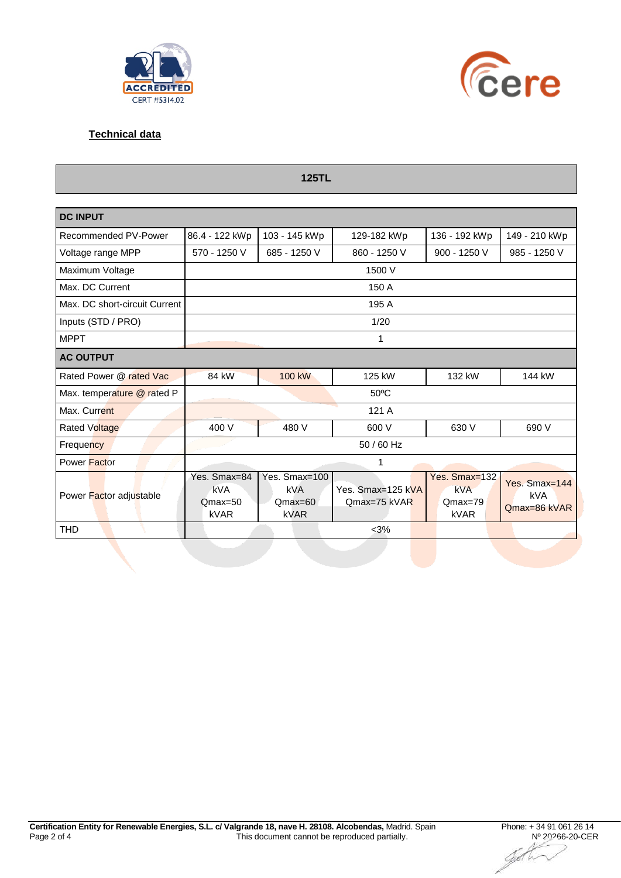



## **Technical data**

| <b>125TL</b>                  |                                          |                                                  |                                   |                                                  |                                      |  |  |  |  |  |  |
|-------------------------------|------------------------------------------|--------------------------------------------------|-----------------------------------|--------------------------------------------------|--------------------------------------|--|--|--|--|--|--|
| <b>DC INPUT</b>               |                                          |                                                  |                                   |                                                  |                                      |  |  |  |  |  |  |
| Recommended PV-Power          | 86.4 - 122 kWp                           | 103 - 145 kWp                                    | 129-182 kWp                       | 136 - 192 kWp                                    | 149 - 210 kWp                        |  |  |  |  |  |  |
| Voltage range MPP             | 570 - 1250 V                             | 685 - 1250 V                                     | 860 - 1250 V                      | 900 - 1250 V                                     | 985 - 1250 V                         |  |  |  |  |  |  |
| Maximum Voltage               | 1500 V                                   |                                                  |                                   |                                                  |                                      |  |  |  |  |  |  |
| Max. DC Current               | 150 A                                    |                                                  |                                   |                                                  |                                      |  |  |  |  |  |  |
| Max. DC short-circuit Current | 195 A                                    |                                                  |                                   |                                                  |                                      |  |  |  |  |  |  |
| Inputs (STD / PRO)            | 1/20                                     |                                                  |                                   |                                                  |                                      |  |  |  |  |  |  |
| <b>MPPT</b>                   | 1                                        |                                                  |                                   |                                                  |                                      |  |  |  |  |  |  |
| <b>AC OUTPUT</b>              |                                          |                                                  |                                   |                                                  |                                      |  |  |  |  |  |  |
| Rated Power @ rated Vac       | 84 kW                                    | 100 kW                                           | 125 kW                            | 132 kW                                           | 144 kW                               |  |  |  |  |  |  |
| Max. temperature @ rated P    | 50°C                                     |                                                  |                                   |                                                  |                                      |  |  |  |  |  |  |
| Max. Current                  | 121 A                                    |                                                  |                                   |                                                  |                                      |  |  |  |  |  |  |
| <b>Rated Voltage</b>          | 400 V                                    | 480 V                                            | 600 V                             | 630 V                                            | 690 V                                |  |  |  |  |  |  |
| Frequency                     | 50 / 60 Hz                               |                                                  |                                   |                                                  |                                      |  |  |  |  |  |  |
| Power Factor                  | 1                                        |                                                  |                                   |                                                  |                                      |  |  |  |  |  |  |
| Power Factor adjustable       | Yes. Smax=84<br>kVA<br>$Qmax=50$<br>kVAR | Yes. Smax=100<br><b>kVA</b><br>$Qmax=60$<br>kVAR | Yes. Smax=125 kVA<br>Qmax=75 kVAR | Yes. Smax=132<br><b>kVA</b><br>$Qmax=79$<br>kVAR | Yes. Smax=144<br>kVA<br>Qmax=86 kVAR |  |  |  |  |  |  |
| <b>THD</b>                    |                                          |                                                  | $<$ 3%                            |                                                  |                                      |  |  |  |  |  |  |

Jø61 Vr.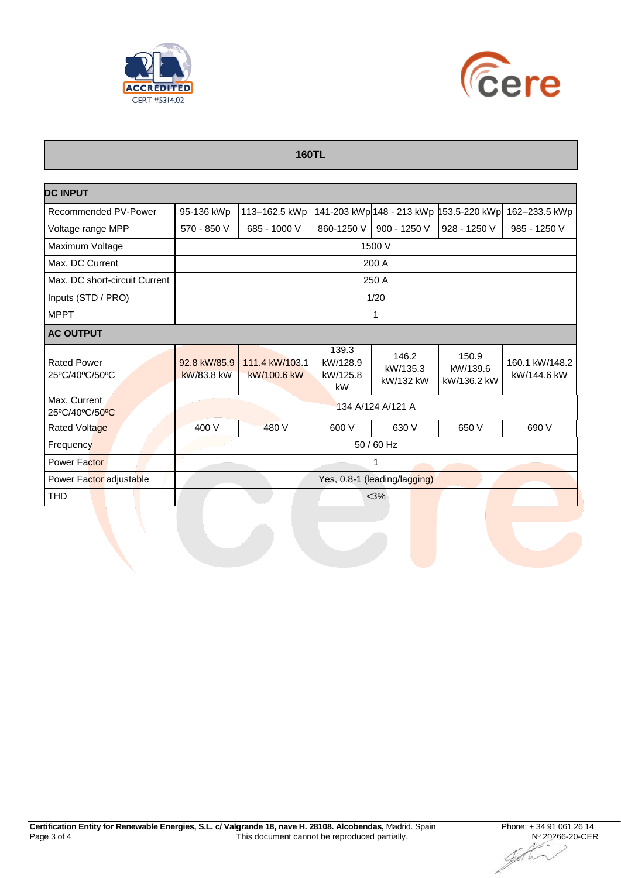



## **160TL**

| <b>DC INPUT</b>                      |                              |                               |                                     |                                |                                  |                               |  |  |  |
|--------------------------------------|------------------------------|-------------------------------|-------------------------------------|--------------------------------|----------------------------------|-------------------------------|--|--|--|
| Recommended PV-Power                 | 95-136 kWp                   | 113-162.5 kWp                 |                                     | 141-203 kWp 148 - 213 kWp 1    | 53.5-220 kWp                     | 162-233.5 kWp                 |  |  |  |
| Voltage range MPP                    | 570 - 850 V                  | 685 - 1000 V                  | 860-1250 V                          | 900 - 1250 V                   | 928 - 1250 V                     | 985 - 1250 V                  |  |  |  |
| Maximum Voltage                      | 1500 V                       |                               |                                     |                                |                                  |                               |  |  |  |
| Max. DC Current                      | 200 A                        |                               |                                     |                                |                                  |                               |  |  |  |
| Max. DC short-circuit Current        | 250 A                        |                               |                                     |                                |                                  |                               |  |  |  |
| Inputs (STD / PRO)                   | 1/20                         |                               |                                     |                                |                                  |                               |  |  |  |
| <b>MPPT</b>                          | 1                            |                               |                                     |                                |                                  |                               |  |  |  |
| <b>AC OUTPUT</b>                     |                              |                               |                                     |                                |                                  |                               |  |  |  |
| <b>Rated Power</b><br>25°C/40°C/50°C | 92.8 kW/85.9<br>kW/83.8 kW   | 111.4 kW/103.1<br>kW/100.6 kW | 139.3<br>kW/128.9<br>kW/125.8<br>kW | 146.2<br>kW/135.3<br>kW/132 kW | 150.9<br>kW/139.6<br>kW/136.2 kW | 160.1 kW/148.2<br>kW/144.6 kW |  |  |  |
| Max. Current<br>25°C/40°C/50°C       | 134 A/124 A/121 A            |                               |                                     |                                |                                  |                               |  |  |  |
| <b>Rated Voltage</b>                 | 400 V                        | 480 V                         | 600 V                               | 630 V                          | 650 V                            | 690 V                         |  |  |  |
| Frequency                            | 50 / 60 Hz                   |                               |                                     |                                |                                  |                               |  |  |  |
| <b>Power Factor</b>                  | 1                            |                               |                                     |                                |                                  |                               |  |  |  |
| Power Factor adjustable              | Yes, 0.8-1 (leading/lagging) |                               |                                     |                                |                                  |                               |  |  |  |
| <b>THD</b>                           | $<$ 3%                       |                               |                                     |                                |                                  |                               |  |  |  |

Jø61 Tr